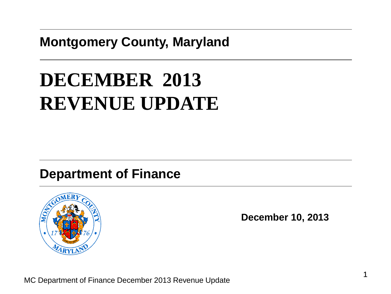#### **Montgomery County, Maryland**

# **DECEMBER 2013 REVENUE UPDATE**

#### **Department of Finance**



**December 10, 2013**

MC Department of Finance December 2013 Revenue Update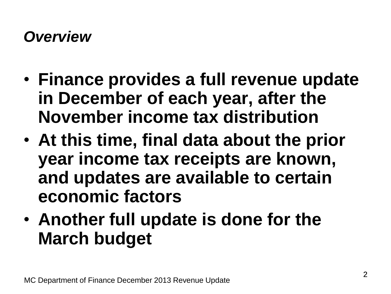#### *Overview*

- **Finance provides a full revenue update in December of each year, after the November income tax distribution**
- **At this time, final data about the prior year income tax receipts are known, and updates are available to certain economic factors**
- **Another full update is done for the March budget**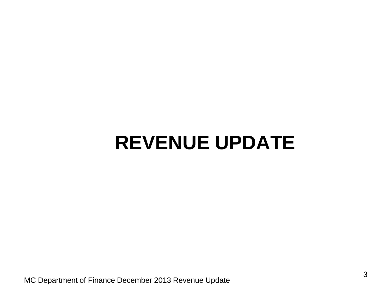# **REVENUE UPDATE**

MC Department of Finance December 2013 Revenue Update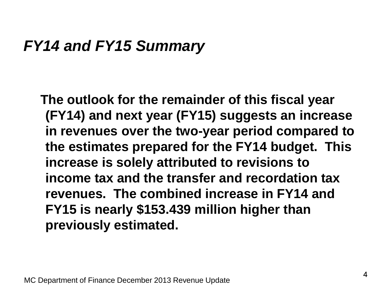#### *FY14 and FY15 Summary*

 **The outlook for the remainder of this fiscal year (FY14) and next year (FY15) suggests an increase in revenues over the two-year period compared to the estimates prepared for the FY14 budget. This increase is solely attributed to revisions to income tax and the transfer and recordation tax revenues. The combined increase in FY14 and FY15 is nearly \$153.439 million higher than previously estimated.**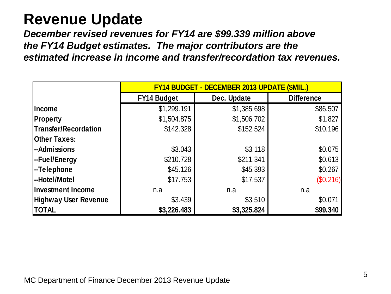# **Revenue Update**

*December revised revenues for FY14 are \$99.339 million above the FY14 Budget estimates. The major contributors are the estimated increase in income and transfer/recordation tax revenues.*

|                             | <b>FY14 BUDGET - DECEMBER 2013 UPDATE (\$MIL.)</b> |             |                   |  |  |  |  |
|-----------------------------|----------------------------------------------------|-------------|-------------------|--|--|--|--|
|                             | <b>FY14 Budget</b>                                 | Dec. Update | <b>Difference</b> |  |  |  |  |
| Income                      | \$1,299.191                                        | \$1,385.698 | \$86.507          |  |  |  |  |
| <b>Property</b>             | \$1,504.875                                        | \$1,506.702 | \$1.827           |  |  |  |  |
| <b>Transfer/Recordation</b> | \$142.328                                          | \$152.524   | \$10.196          |  |  |  |  |
| <b>Other Taxes:</b>         |                                                    |             |                   |  |  |  |  |
| --Admissions                | \$3.043                                            | \$3.118     | \$0.075           |  |  |  |  |
| --Fuel/Energy               | \$210.728                                          | \$211.341   | \$0.613           |  |  |  |  |
| --Telephone                 | \$45.126                                           | \$45.393    | \$0.267           |  |  |  |  |
| --Hotel/Motel               | \$17.753                                           | \$17.537    | (\$0.216)         |  |  |  |  |
| <b>Investment Income</b>    | n.a                                                | n.a         | n.a               |  |  |  |  |
| <b>Highway User Revenue</b> | \$3.439                                            | \$3.510     | \$0.071           |  |  |  |  |
| <b>TOTAL</b>                | \$3,226.483                                        | \$3,325.824 | \$99.340          |  |  |  |  |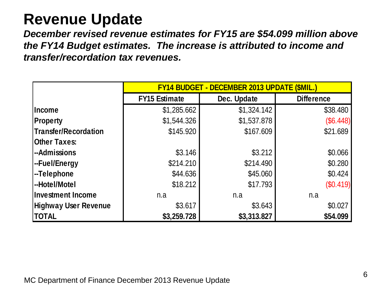# **Revenue Update**

*December revised revenue estimates for FY15 are \$54.099 million above the FY14 Budget estimates. The increase is attributed to income and transfer/recordation tax revenues.*

|                             | <b>FY14 BUDGET - DECEMBER 2013 UPDATE (\$MIL.)</b> |             |                   |  |  |  |  |
|-----------------------------|----------------------------------------------------|-------------|-------------------|--|--|--|--|
|                             | <b>FY15 Estimate</b>                               | Dec. Update | <b>Difference</b> |  |  |  |  |
| <b>Income</b>               | \$1,285.662                                        | \$1,324.142 | \$38.480          |  |  |  |  |
| <b>Property</b>             | \$1,544.326                                        | \$1,537.878 | (\$6.448)         |  |  |  |  |
| Transfer/Recordation        | \$145.920                                          | \$167.609   | \$21.689          |  |  |  |  |
| <b>Other Taxes:</b>         |                                                    |             |                   |  |  |  |  |
| -Admissions                 | \$3.146                                            | \$3.212     | \$0.066           |  |  |  |  |
| -Fuel/Energy                | \$214.210                                          | \$214.490   | \$0.280           |  |  |  |  |
| -Telephone                  | \$44.636                                           | \$45.060    | \$0.424           |  |  |  |  |
| -Hotel/Motel                | \$18.212                                           | \$17.793    | (\$0.419)         |  |  |  |  |
| <b>Investment Income</b>    | n.a                                                | n.a         | n.a               |  |  |  |  |
| <b>Highway User Revenue</b> | \$3.617                                            | \$3.643     | \$0.027           |  |  |  |  |
| <b>TOTAL</b>                | \$3,259.728                                        | \$3,313.827 | \$54.099          |  |  |  |  |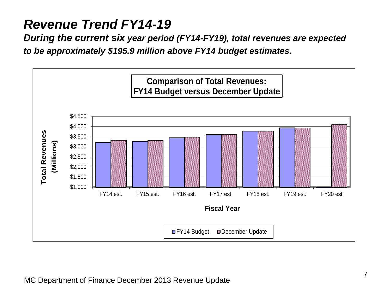#### *Revenue Trend FY14-19*

*During the current six year period (FY14-FY19), total revenues are expected to be approximately \$195.9 million above FY14 budget estimates.*

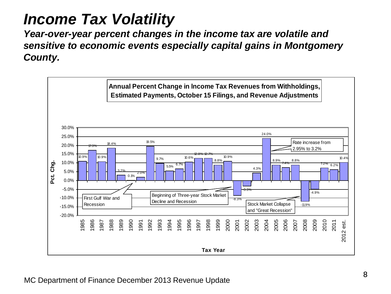# *Income Tax Volatility*

*Year-over-year percent changes in the income tax are volatile and sensitive to economic events especially capital gains in Montgomery County.*

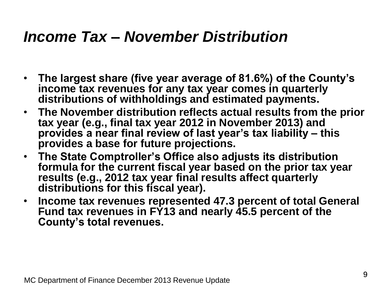## *Income Tax – November Distribution*

- **The largest share (five year average of 81.6%) of the County's income tax revenues for any tax year comes in quarterly distributions of withholdings and estimated payments.**
- **The November distribution reflects actual results from the prior tax year (e.g., final tax year 2012 in November 2013) and provides a near final review of last year's tax liability – this provides a base for future projections.**
- **The State Comptroller's Office also adjusts its distribution formula for the current fiscal year based on the prior tax year results (e.g., 2012 tax year final results affect quarterly distributions for this fiscal year).**
- **Income tax revenues represented 47.3 percent of total General Fund tax revenues in FY13 and nearly 45.5 percent of the County's total revenues.**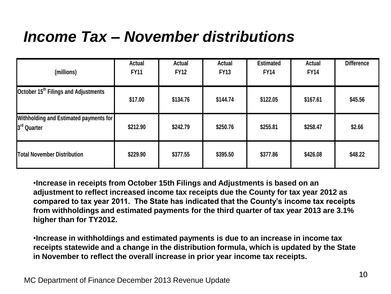# *Income Tax – November distributions*

| (millions)                                                                                                                                                                                                                                                                                                                                                                                                                                                                                                                                                                                                                                                             | <b>Actual</b><br><b>FY11</b> | <b>Actual</b><br><b>FY12</b> | <b>Actual</b><br><b>FY13</b> | <b>Estimated</b><br><b>FY14</b> | <b>Actual</b><br><b>FY14</b> | <b>Difference</b> |  |  |  |  |
|------------------------------------------------------------------------------------------------------------------------------------------------------------------------------------------------------------------------------------------------------------------------------------------------------------------------------------------------------------------------------------------------------------------------------------------------------------------------------------------------------------------------------------------------------------------------------------------------------------------------------------------------------------------------|------------------------------|------------------------------|------------------------------|---------------------------------|------------------------------|-------------------|--|--|--|--|
| October 15 <sup>th</sup> Filings and Adjustments                                                                                                                                                                                                                                                                                                                                                                                                                                                                                                                                                                                                                       | \$17.00                      | \$134.76                     | \$144.74                     | \$122.05                        | \$167.61                     | \$45.56           |  |  |  |  |
| <b>Withholding and Estimated payments for</b><br>3 <sup>rd</sup> Quarter                                                                                                                                                                                                                                                                                                                                                                                                                                                                                                                                                                                               | \$212.90                     | \$242.79                     | \$250.76                     | \$255.81                        | \$258.47                     | \$2.66            |  |  |  |  |
| <b>Total November Distribution</b>                                                                                                                                                                                                                                                                                                                                                                                                                                                                                                                                                                                                                                     | \$229.90                     | \$377.55                     | \$395.50                     | \$377.86                        | \$426.08                     | \$48.22           |  |  |  |  |
| . Increase in receipts from October 15th Filings and Adjustments is based on an<br>adjustment to reflect increased income tax receipts due the County for tax year 2012 as<br>compared to tax year 2011. The State has indicated that the County's income tax receipts<br>from withholdings and estimated payments for the third quarter of tax year 2013 are 3.1%<br>higher than for TY2012.<br>. Increase in withholdings and estimated payments is due to an increase in income tax<br>receipts statewide and a change in the distribution formula, which is updated by the State<br>in November to reflect the overall increase in prior year income tax receipts. |                              |                              |                              |                                 |                              |                   |  |  |  |  |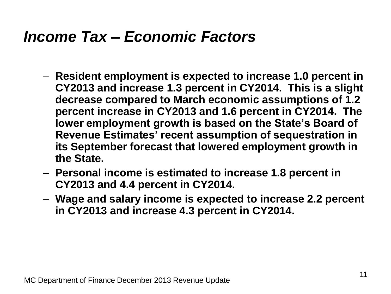### *Income Tax – Economic Factors*

- **Resident employment is expected to increase 1.0 percent in CY2013 and increase 1.3 percent in CY2014. This is a slight decrease compared to March economic assumptions of 1.2 percent increase in CY2013 and 1.6 percent in CY2014. The lower employment growth is based on the State's Board of Revenue Estimates' recent assumption of sequestration in its September forecast that lowered employment growth in the State.**
- **Personal income is estimated to increase 1.8 percent in CY2013 and 4.4 percent in CY2014.**
- **Wage and salary income is expected to increase 2.2 percent in CY2013 and increase 4.3 percent in CY2014.**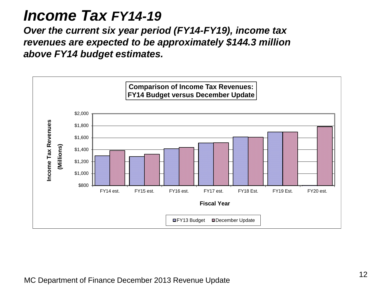#### *Income Tax FY14-19*

*Over the current six year period (FY14-FY19), income tax revenues are expected to be approximately \$144.3 million above FY14 budget estimates.* 

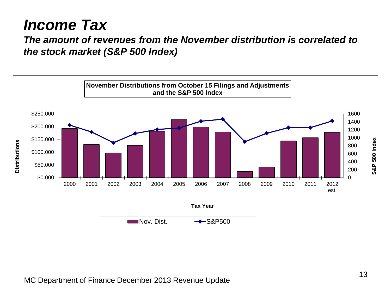## *Income Tax*

*The amount of revenues from the November distribution is correlated to the stock market (S&P 500 Index)*

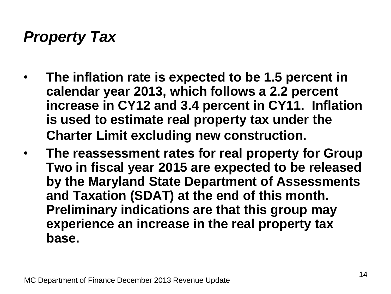# *Property Tax*

- **The inflation rate is expected to be 1.5 percent in calendar year 2013, which follows a 2.2 percent increase in CY12 and 3.4 percent in CY11. Inflation is used to estimate real property tax under the Charter Limit excluding new construction.**
- **The reassessment rates for real property for Group Two in fiscal year 2015 are expected to be released by the Maryland State Department of Assessments and Taxation (SDAT) at the end of this month. Preliminary indications are that this group may experience an increase in the real property tax base.**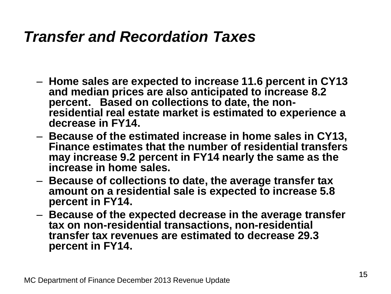## *Transfer and Recordation Taxes*

- **Home sales are expected to increase 11.6 percent in CY13 and median prices are also anticipated to increase 8.2 percent. Based on collections to date, the nonresidential real estate market is estimated to experience a decrease in FY14.**
- **Because of the estimated increase in home sales in CY13, Finance estimates that the number of residential transfers may increase 9.2 percent in FY14 nearly the same as the increase in home sales.**
- **Because of collections to date, the average transfer tax amount on a residential sale is expected to increase 5.8 percent in FY14.**
- **Because of the expected decrease in the average transfer tax on non-residential transactions, non-residential transfer tax revenues are estimated to decrease 29.3 percent in FY14.**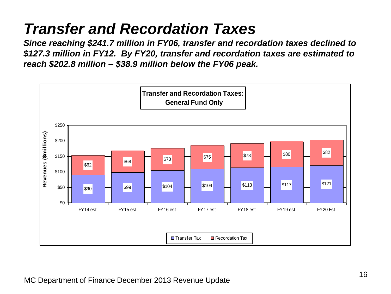# *Transfer and Recordation Taxes*

*Since reaching \$241.7 million in FY06, transfer and recordation taxes declined to \$127.3 million in FY12. By FY20, transfer and recordation taxes are estimated to reach \$202.8 million – \$38.9 million below the FY06 peak.*